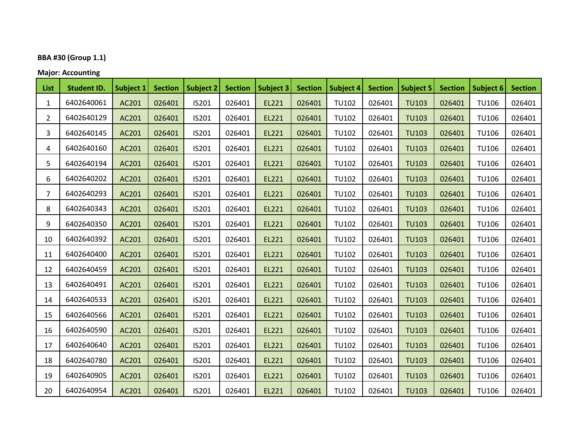# **BBA #30 (Group 1.1)**

#### **Major: Accounting**

| List           | <b>Student ID.</b> | Subject 1 | <b>Section</b> | Subject 2 | <b>Section</b> | Subject 3 | <b>Section</b> | <b>Subject 4</b> | <b>Section</b> | <b>Subject 5</b> | <b>Section</b> | Subject 6    | <b>Section</b> |
|----------------|--------------------|-----------|----------------|-----------|----------------|-----------|----------------|------------------|----------------|------------------|----------------|--------------|----------------|
| 1              | 6402640061         | AC201     | 026401         | IS201     | 026401         | EL221     | 026401         | <b>TU102</b>     | 026401         | <b>TU103</b>     | 026401         | <b>TU106</b> | 026401         |
| 2              | 6402640129         | AC201     | 026401         | IS201     | 026401         | EL221     | 026401         | <b>TU102</b>     | 026401         | <b>TU103</b>     | 026401         | <b>TU106</b> | 026401         |
| 3              | 6402640145         | AC201     | 026401         | IS201     | 026401         | EL221     | 026401         | <b>TU102</b>     | 026401         | <b>TU103</b>     | 026401         | <b>TU106</b> | 026401         |
| 4              | 6402640160         | AC201     | 026401         | IS201     | 026401         | EL221     | 026401         | <b>TU102</b>     | 026401         | <b>TU103</b>     | 026401         | <b>TU106</b> | 026401         |
| 5              | 6402640194         | AC201     | 026401         | IS201     | 026401         | EL221     | 026401         | <b>TU102</b>     | 026401         | <b>TU103</b>     | 026401         | <b>TU106</b> | 026401         |
| 6              | 6402640202         | AC201     | 026401         | IS201     | 026401         | EL221     | 026401         | <b>TU102</b>     | 026401         | <b>TU103</b>     | 026401         | <b>TU106</b> | 026401         |
| $\overline{7}$ | 6402640293         | AC201     | 026401         | IS201     | 026401         | EL221     | 026401         | <b>TU102</b>     | 026401         | <b>TU103</b>     | 026401         | <b>TU106</b> | 026401         |
| 8              | 6402640343         | AC201     | 026401         | IS201     | 026401         | EL221     | 026401         | <b>TU102</b>     | 026401         | <b>TU103</b>     | 026401         | <b>TU106</b> | 026401         |
| 9              | 6402640350         | AC201     | 026401         | IS201     | 026401         | EL221     | 026401         | <b>TU102</b>     | 026401         | <b>TU103</b>     | 026401         | <b>TU106</b> | 026401         |
| 10             | 6402640392         | AC201     | 026401         | IS201     | 026401         | EL221     | 026401         | <b>TU102</b>     | 026401         | <b>TU103</b>     | 026401         | <b>TU106</b> | 026401         |
| 11             | 6402640400         | AC201     | 026401         | IS201     | 026401         | EL221     | 026401         | <b>TU102</b>     | 026401         | <b>TU103</b>     | 026401         | <b>TU106</b> | 026401         |
| 12             | 6402640459         | AC201     | 026401         | IS201     | 026401         | EL221     | 026401         | <b>TU102</b>     | 026401         | <b>TU103</b>     | 026401         | <b>TU106</b> | 026401         |
| 13             | 6402640491         | AC201     | 026401         | IS201     | 026401         | EL221     | 026401         | <b>TU102</b>     | 026401         | <b>TU103</b>     | 026401         | <b>TU106</b> | 026401         |
| 14             | 6402640533         | AC201     | 026401         | IS201     | 026401         | EL221     | 026401         | <b>TU102</b>     | 026401         | <b>TU103</b>     | 026401         | <b>TU106</b> | 026401         |
| 15             | 6402640566         | AC201     | 026401         | IS201     | 026401         | EL221     | 026401         | <b>TU102</b>     | 026401         | <b>TU103</b>     | 026401         | <b>TU106</b> | 026401         |
| 16             | 6402640590         | AC201     | 026401         | IS201     | 026401         | EL221     | 026401         | <b>TU102</b>     | 026401         | <b>TU103</b>     | 026401         | <b>TU106</b> | 026401         |
| 17             | 6402640640         | AC201     | 026401         | IS201     | 026401         | EL221     | 026401         | <b>TU102</b>     | 026401         | <b>TU103</b>     | 026401         | <b>TU106</b> | 026401         |
| 18             | 6402640780         | AC201     | 026401         | IS201     | 026401         | EL221     | 026401         | <b>TU102</b>     | 026401         | <b>TU103</b>     | 026401         | <b>TU106</b> | 026401         |
| 19             | 6402640905         | AC201     | 026401         | IS201     | 026401         | EL221     | 026401         | <b>TU102</b>     | 026401         | <b>TU103</b>     | 026401         | <b>TU106</b> | 026401         |
| 20             | 6402640954         | AC201     | 026401         | IS201     | 026401         | EL221     | 026401         | <b>TU102</b>     | 026401         | <b>TU103</b>     | 026401         | <b>TU106</b> | 026401         |